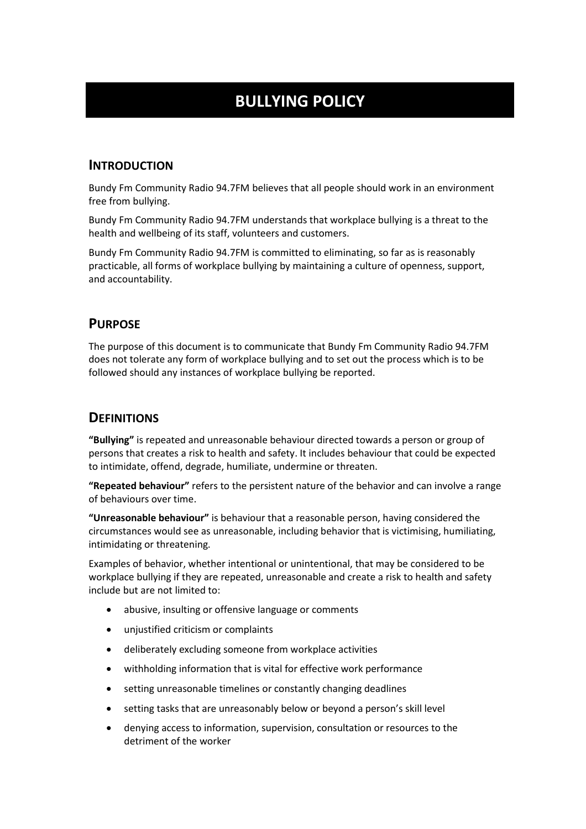# **BULLYING POLICY**

#### **INTRODUCTION**

Bundy Fm Community Radio 94.7FM believes that all people should work in an environment free from bullying.

Bundy Fm Community Radio 94.7FM understands that workplace bullying is a threat to the health and wellbeing of its staff, volunteers and customers.

Bundy Fm Community Radio 94.7FM is committed to eliminating, so far as is reasonably practicable, all forms of workplace bullying by maintaining a culture of openness, support, and accountability.

## **PURPOSE**

The purpose of this document is to communicate that Bundy Fm Community Radio 94.7FM does not tolerate any form of workplace bullying and to set out the process which is to be followed should any instances of workplace bullying be reported.

## **DEFINITIONS**

**"Bullying"** is repeated and unreasonable behaviour directed towards a person or group of persons that creates a risk to health and safety. It includes behaviour that could be expected to intimidate, offend, degrade, humiliate, undermine or threaten.

**"Repeated behaviour"** refers to the persistent nature of the behavior and can involve a range of behaviours over time.

**"Unreasonable behaviour"** is behaviour that a reasonable person, having considered the circumstances would see as unreasonable, including behavior that is victimising, humiliating, intimidating or threatening.

Examples of behavior, whether intentional or unintentional, that may be considered to be workplace bullying if they are repeated, unreasonable and create a risk to health and safety include but are not limited to:

- abusive, insulting or offensive language or comments
- unjustified criticism or complaints
- deliberately excluding someone from workplace activities
- withholding information that is vital for effective work performance
- setting unreasonable timelines or constantly changing deadlines
- setting tasks that are unreasonably below or beyond a person's skill level
- denying access to information, supervision, consultation or resources to the detriment of the worker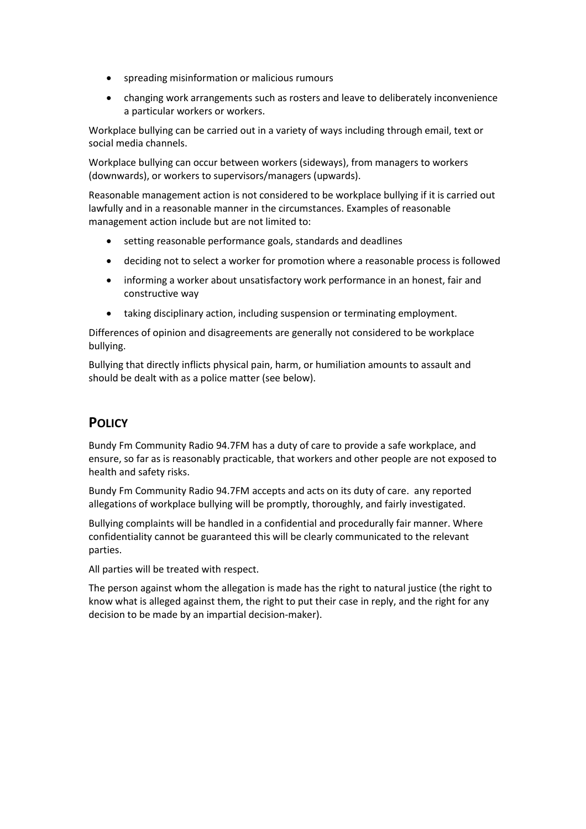- spreading misinformation or malicious rumours
- changing work arrangements such as rosters and leave to deliberately inconvenience a particular workers or workers.

Workplace bullying can be carried out in a variety of ways including through email, text or social media channels.

Workplace bullying can occur between workers (sideways), from managers to workers (downwards), or workers to supervisors/managers (upwards).

Reasonable management action is not considered to be workplace bullying if it is carried out lawfully and in a reasonable manner in the circumstances. Examples of reasonable management action include but are not limited to:

- setting reasonable performance goals, standards and deadlines
- deciding not to select a worker for promotion where a reasonable process is followed
- informing a worker about unsatisfactory work performance in an honest, fair and constructive way
- taking disciplinary action, including suspension or terminating employment.

Differences of opinion and disagreements are generally not considered to be workplace bullying.

Bullying that directly inflicts physical pain, harm, or humiliation amounts to assault and should be dealt with as a police matter (see below).

# **POLICY**

Bundy Fm Community Radio 94.7FM has a duty of care to provide a safe workplace, and ensure, so far as is reasonably practicable, that workers and other people are not exposed to health and safety risks.

Bundy Fm Community Radio 94.7FM accepts and acts on its duty of care. any reported allegations of workplace bullying will be promptly, thoroughly, and fairly investigated.

Bullying complaints will be handled in a confidential and procedurally fair manner. Where confidentiality cannot be guaranteed this will be clearly communicated to the relevant parties.

All parties will be treated with respect.

The person against whom the allegation is made has the right to natural justice (the right to know what is alleged against them, the right to put their case in reply, and the right for any decision to be made by an impartial decision-maker).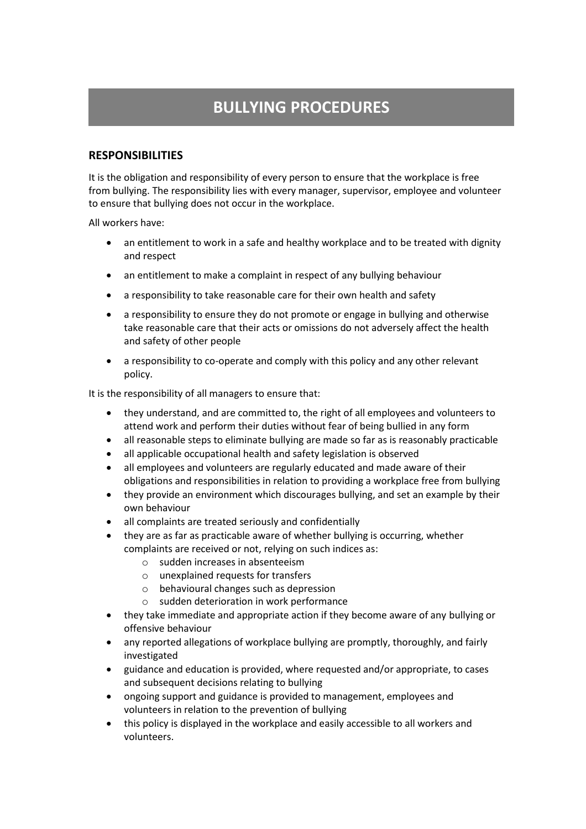# **BULLYING PROCEDURES**

#### **RESPONSIBILITIES**

It is the obligation and responsibility of every person to ensure that the workplace is free from bullying. The responsibility lies with every manager, supervisor, employee and volunteer to ensure that bullying does not occur in the workplace.

All workers have:

- an entitlement to work in a safe and healthy workplace and to be treated with dignity and respect
- an entitlement to make a complaint in respect of any bullying behaviour
- a responsibility to take reasonable care for their own health and safety
- a responsibility to ensure they do not promote or engage in bullying and otherwise take reasonable care that their acts or omissions do not adversely affect the health and safety of other people
- a responsibility to co-operate and comply with this policy and any other relevant policy.

It is the responsibility of all managers to ensure that:

- they understand, and are committed to, the right of all employees and volunteers to attend work and perform their duties without fear of being bullied in any form
- all reasonable steps to eliminate bullying are made so far as is reasonably practicable
- all applicable occupational health and safety legislation is observed
- all employees and volunteers are regularly educated and made aware of their obligations and responsibilities in relation to providing a workplace free from bullying
- they provide an environment which discourages bullying, and set an example by their own behaviour
- all complaints are treated seriously and confidentially
- they are as far as practicable aware of whether bullying is occurring, whether complaints are received or not, relying on such indices as:
	- o sudden increases in absenteeism
	- o unexplained requests for transfers
	- o behavioural changes such as depression
	- o sudden deterioration in work performance
- they take immediate and appropriate action if they become aware of any bullying or offensive behaviour
- any reported allegations of workplace bullying are promptly, thoroughly, and fairly investigated
- guidance and education is provided, where requested and/or appropriate, to cases and subsequent decisions relating to bullying
- ongoing support and guidance is provided to management, employees and volunteers in relation to the prevention of bullying
- this policy is displayed in the workplace and easily accessible to all workers and volunteers.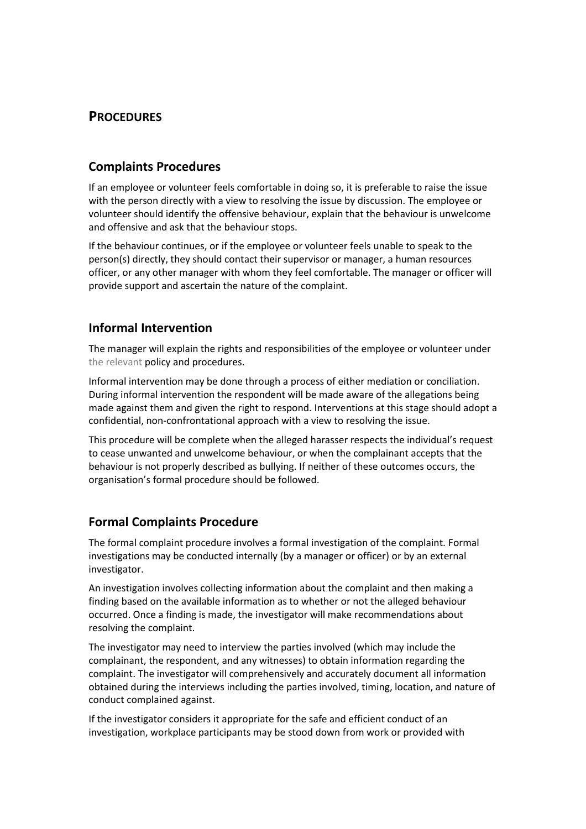# **PROCEDURES**

## **Complaints Procedures**

If an employee or volunteer feels comfortable in doing so, it is preferable to raise the issue with the person directly with a view to resolving the issue by discussion. The employee or volunteer should identify the offensive behaviour, explain that the behaviour is unwelcome and offensive and ask that the behaviour stops.

If the behaviour continues, or if the employee or volunteer feels unable to speak to the person(s) directly, they should contact their supervisor or manager, a human resources officer, or any other manager with whom they feel comfortable. The manager or officer will provide support and ascertain the nature of the complaint.

## **Informal Intervention**

The manager will explain the rights and responsibilities of the employee or volunteer under the relevant policy and procedures.

Informal intervention may be done through a process of either mediation or conciliation. During informal intervention the respondent will be made aware of the allegations being made against them and given the right to respond. Interventions at this stage should adopt a confidential, non-confrontational approach with a view to resolving the issue.

This procedure will be complete when the alleged harasser respects the individual's request to cease unwanted and unwelcome behaviour, or when the complainant accepts that the behaviour is not properly described as bullying. If neither of these outcomes occurs, the organisation's formal procedure should be followed.

#### **Formal Complaints Procedure**

The formal complaint procedure involves a formal investigation of the complaint. Formal investigations may be conducted internally (by a manager or officer) or by an external investigator.

An investigation involves collecting information about the complaint and then making a finding based on the available information as to whether or not the alleged behaviour occurred. Once a finding is made, the investigator will make recommendations about resolving the complaint.

The investigator may need to interview the parties involved (which may include the complainant, the respondent, and any witnesses) to obtain information regarding the complaint. The investigator will comprehensively and accurately document all information obtained during the interviews including the parties involved, timing, location, and nature of conduct complained against.

If the investigator considers it appropriate for the safe and efficient conduct of an investigation, workplace participants may be stood down from work or provided with